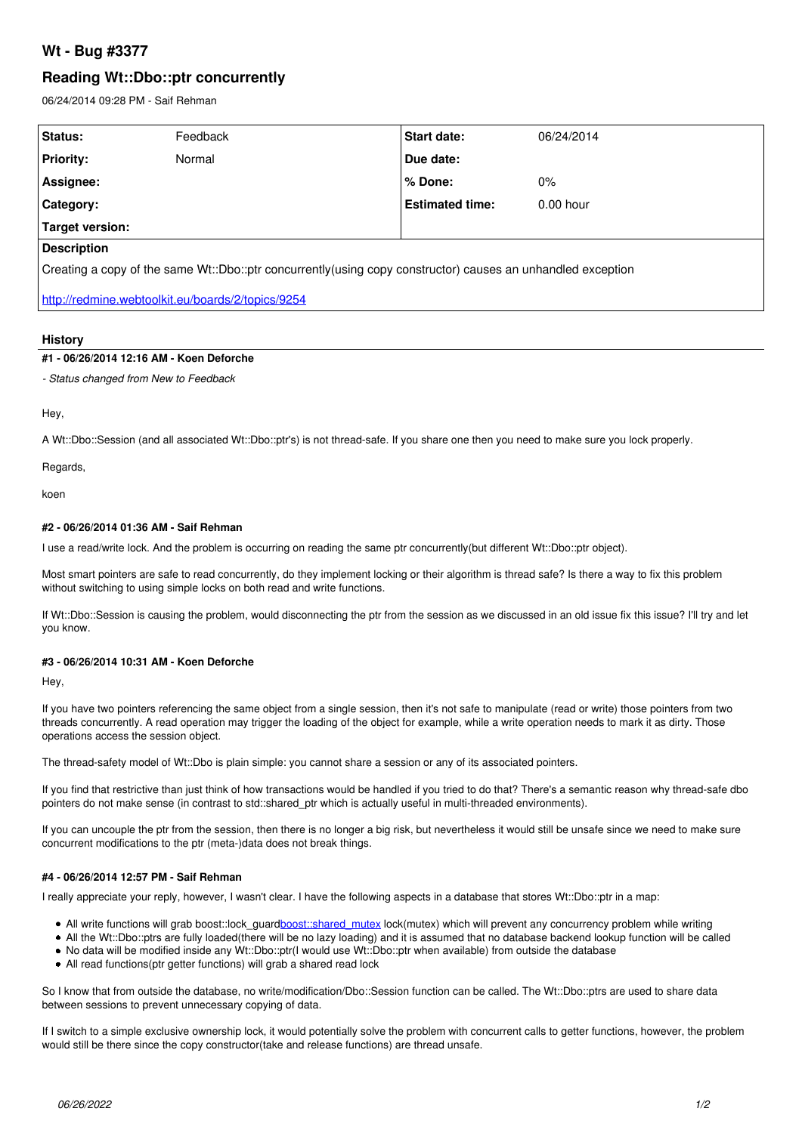## **Wt - Bug #3377**

# **Reading Wt::Dbo::ptr concurrently**

06/24/2014 09:28 PM - Saif Rehman

| Status:                                                                                                     | Feedback | <b>Start date:</b>     | 06/24/2014  |
|-------------------------------------------------------------------------------------------------------------|----------|------------------------|-------------|
| <b>Priority:</b>                                                                                            | Normal   | Due date:              |             |
| Assignee:                                                                                                   |          | ∣% Done:               | $0\%$       |
| <b>Category:</b>                                                                                            |          | <b>Estimated time:</b> | $0.00$ hour |
| Target version:                                                                                             |          |                        |             |
| <b>Description</b>                                                                                          |          |                        |             |
| Creating a copy of the same Wt::Dbo::ptr concurrently(using copy constructor) causes an unhandled exception |          |                        |             |

<http://redmine.webtoolkit.eu/boards/2/topics/9254>

### **History**

#### **#1 - 06/26/2014 12:16 AM - Koen Deforche**

*- Status changed from New to Feedback*

Hey,

A Wt::Dbo::Session (and all associated Wt::Dbo::ptr's) is not thread-safe. If you share one then you need to make sure you lock properly.

Regards,

koen

### **#2 - 06/26/2014 01:36 AM - Saif Rehman**

I use a read/write lock. And the problem is occurring on reading the same ptr concurrently(but different Wt::Dbo::ptr object).

Most smart pointers are safe to read concurrently, do they implement locking or their algorithm is thread safe? Is there a way to fix this problem without switching to using simple locks on both read and write functions.

If Wt::Dbo::Session is causing the problem, would disconnecting the ptr from the session as we discussed in an old issue fix this issue? I'll try and let you know.

#### **#3 - 06/26/2014 10:31 AM - Koen Deforche**

Hey,

If you have two pointers referencing the same object from a single session, then it's not safe to manipulate (read or write) those pointers from two threads concurrently. A read operation may trigger the loading of the object for example, while a write operation needs to mark it as dirty. Those operations access the session object.

The thread-safety model of Wt::Dbo is plain simple: you cannot share a session or any of its associated pointers.

If you find that restrictive than just think of how transactions would be handled if you tried to do that? There's a semantic reason why thread-safe dbo pointers do not make sense (in contrast to std::shared\_ptr which is actually useful in multi-threaded environments).

If you can uncouple the ptr from the session, then there is no longer a big risk, but nevertheless it would still be unsafe since we need to make sure concurrent modifications to the ptr (meta-)data does not break things.

### **#4 - 06/26/2014 12:57 PM - Saif Rehman**

I really appreciate your reply, however, I wasn't clear. I have the following aspects in a database that stores Wt::Dbo::ptr in a map:

- All write functions will grab boost::lock\_guardboost::shared\_mutex lock(mutex) which will prevent any concurrency problem while writing
- All the Wt::Dbo::ptrs are fully loaded(there will be no lazy loading) and it is assumed that no database backend lookup function will be called
- No data will be modified inside any Wt::Dbo::ptr(I would use Wt::Dbo::ptr when available) from outside the database
- All read functions(ptr getter functions) will grab a shared read lock

So I know that from outside the database, no write/modification/Dbo::Session function can be called. The Wt::Dbo::ptrs are used to share data between sessions to prevent unnecessary copying of data.

If I switch to a simple exclusive ownership lock, it would potentially solve the problem with concurrent calls to getter functions, however, the problem would still be there since the copy constructor(take and release functions) are thread unsafe.